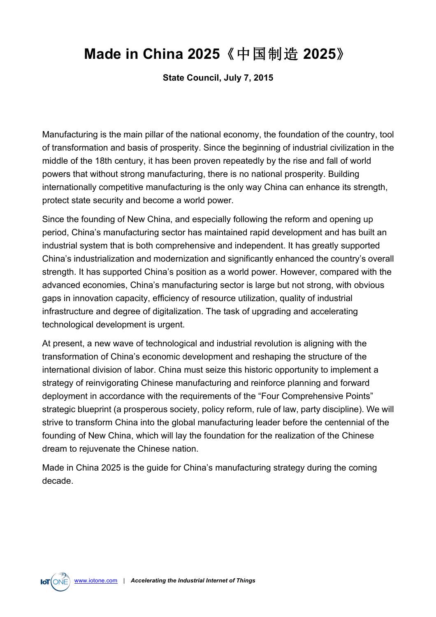**State Council, July 7, 2015**

Manufacturing is the main pillar of the national economy, the foundation of the country, tool of transformation and basis of prosperity. Since the beginning of industrial civilization in the middle of the 18th century, it has been proven repeatedly by the rise and fall of world powers that without strong manufacturing, there is no national prosperity. Building internationally competitive manufacturing is the only way China can enhance its strength, protect state security and become a world power.

Since the founding of New China, and especially following the reform and opening up period, China's manufacturing sector has maintained rapid development and has built an industrial system that is both comprehensive and independent. It has greatly supported China's industrialization and modernization and significantly enhanced the country's overall strength. It has supported China's position as a world power. However, compared with the advanced economies, China's manufacturing sector is large but not strong, with obvious gaps in innovation capacity, efficiency of resource utilization, quality of industrial infrastructure and degree of digitalization. The task of upgrading and accelerating technological development is urgent.

At present, a new wave of technological and industrial revolution is aligning with the transformation of China's economic development and reshaping the structure of the international division of labor. China must seize this historic opportunity to implement a strategy of reinvigorating Chinese manufacturing and reinforce planning and forward deployment in accordance with the requirements of the "Four Comprehensive Points" strategic blueprint (a prosperous society, policy reform, rule of law, party discipline). We will strive to transform China into the global manufacturing leader before the centennial of the founding of New China, which will lay the foundation for the realization of the Chinese dream to rejuvenate the Chinese nation.

Made in China 2025 is the guide for China's manufacturing strategy during the coming decade.

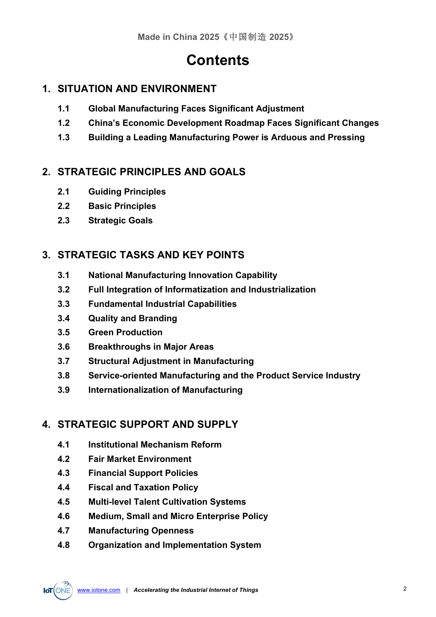## **Contents**

## **1. SITUATION AND ENVIRONMENT**

- **1.1 Global Manufacturing Faces Significant Adjustment**
- **1.2 China's Economic Development Roadmap Faces Significant Changes**
- **1.3 Building a Leading Manufacturing Power is Arduous and Pressing**

## **2. STRATEGIC PRINCIPLES AND GOALS**

- **2.1 Guiding Principles**
- **2.2 Basic Principles**
- **2.3 Strategic Goals**

## **3. STRATEGIC TASKS AND KEY POINTS**

- **3.1 National Manufacturing Innovation Capability**
- **3.2 Full Integration of Informatization and Industrialization**
- **3.3 Fundamental Industrial Capabilities**
- **3.4 Quality and Branding**
- **3.5 Green Production**
- **3.6 Breakthroughs in Major Areas**
- **3.7 Structural Adjustment in Manufacturing**
- **3.8 Service-oriented Manufacturing and the Product Service Industry**
- **3.9 Internationalization of Manufacturing**

## **4. STRATEGIC SUPPORT AND SUPPLY**

- **4.1 Institutional Mechanism Reform**
- **4.2 Fair Market Environment**
- **4.3 Financial Support Policies**
- **4.4 Fiscal and Taxation Policy**
- **4.5 Multi-level Talent Cultivation Systems**
- **4.6 Medium, Small and Micro Enterprise Policy**
- **4.7 Manufacturing Openness**
- **4.8 Organization and Implementation System**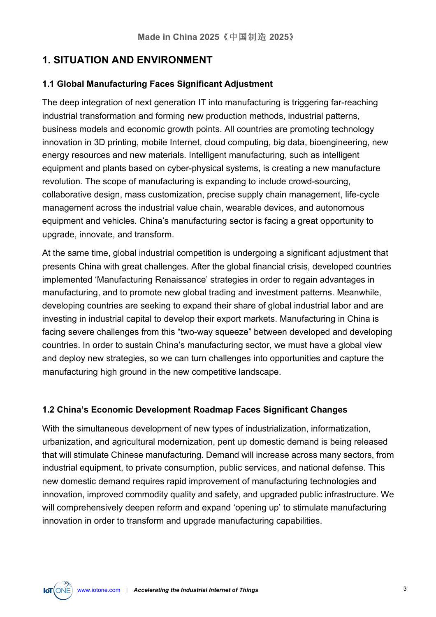## **1. SITUATION AND ENVIRONMENT**

#### **1.1 Global Manufacturing Faces Significant Adjustment**

The deep integration of next generation IT into manufacturing is triggering far-reaching industrial transformation and forming new production methods, industrial patterns, business models and economic growth points. All countries are promoting technology innovation in 3D printing, mobile Internet, cloud computing, big data, bioengineering, new energy resources and new materials. Intelligent manufacturing, such as intelligent equipment and plants based on cyber-physical systems, is creating a new manufacture revolution. The scope of manufacturing is expanding to include crowd-sourcing, collaborative design, mass customization, precise supply chain management, life-cycle management across the industrial value chain, wearable devices, and autonomous equipment and vehicles. China's manufacturing sector is facing a great opportunity to upgrade, innovate, and transform.

At the same time, global industrial competition is undergoing a significant adjustment that presents China with great challenges. After the global financial crisis, developed countries implemented 'Manufacturing Renaissance' strategies in order to regain advantages in manufacturing, and to promote new global trading and investment patterns. Meanwhile, developing countries are seeking to expand their share of global industrial labor and are investing in industrial capital to develop their export markets. Manufacturing in China is facing severe challenges from this "two-way squeeze" between developed and developing countries. In order to sustain China's manufacturing sector, we must have a global view and deploy new strategies, so we can turn challenges into opportunities and capture the manufacturing high ground in the new competitive landscape.

#### **1.2 China's Economic Development Roadmap Faces Significant Changes**

With the simultaneous development of new types of industrialization, informatization, urbanization, and agricultural modernization, pent up domestic demand is being released that will stimulate Chinese manufacturing. Demand will increase across many sectors, from industrial equipment, to private consumption, public services, and national defense. This new domestic demand requires rapid improvement of manufacturing technologies and innovation, improved commodity quality and safety, and upgraded public infrastructure. We will comprehensively deepen reform and expand 'opening up' to stimulate manufacturing innovation in order to transform and upgrade manufacturing capabilities.

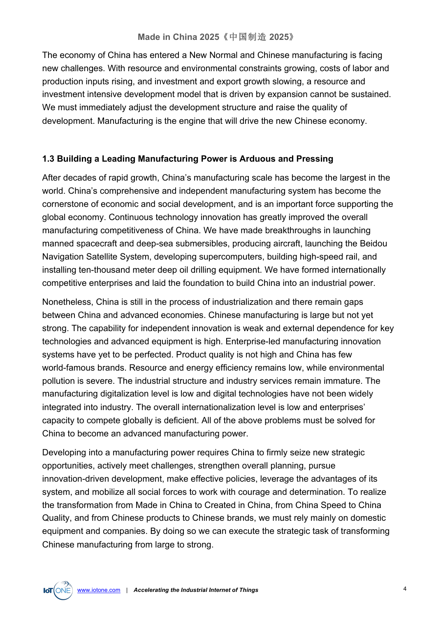The economy of China has entered a New Normal and Chinese manufacturing is facing new challenges. With resource and environmental constraints growing, costs of labor and production inputs rising, and investment and export growth slowing, a resource and investment intensive development model that is driven by expansion cannot be sustained. We must immediately adjust the development structure and raise the quality of development. Manufacturing is the engine that will drive the new Chinese economy.

#### **1.3 Building a Leading Manufacturing Power is Arduous and Pressing**

After decades of rapid growth, China's manufacturing scale has become the largest in the world. China's comprehensive and independent manufacturing system has become the cornerstone of economic and social development, and is an important force supporting the global economy. Continuous technology innovation has greatly improved the overall manufacturing competitiveness of China. We have made breakthroughs in launching manned spacecraft and deep-sea submersibles, producing aircraft, launching the Beidou Navigation Satellite System, developing supercomputers, building high-speed rail, and installing ten-thousand meter deep oil drilling equipment. We have formed internationally competitive enterprises and laid the foundation to build China into an industrial power.

Nonetheless, China is still in the process of industrialization and there remain gaps between China and advanced economies. Chinese manufacturing is large but not yet strong. The capability for independent innovation is weak and external dependence for key technologies and advanced equipment is high. Enterprise-led manufacturing innovation systems have yet to be perfected. Product quality is not high and China has few world-famous brands. Resource and energy efficiency remains low, while environmental pollution is severe. The industrial structure and industry services remain immature. The manufacturing digitalization level is low and digital technologies have not been widely integrated into industry. The overall internationalization level is low and enterprises' capacity to compete globally is deficient. All of the above problems must be solved for China to become an advanced manufacturing power.

Developing into a manufacturing power requires China to firmly seize new strategic opportunities, actively meet challenges, strengthen overall planning, pursue innovation-driven development, make effective policies, leverage the advantages of its system, and mobilize all social forces to work with courage and determination. To realize the transformation from Made in China to Created in China, from China Speed to China Quality, and from Chinese products to Chinese brands, we must rely mainly on domestic equipment and companies. By doing so we can execute the strategic task of transforming Chinese manufacturing from large to strong.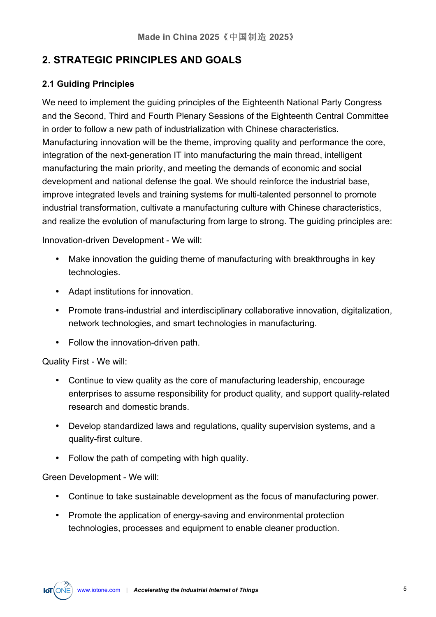## **2. STRATEGIC PRINCIPLES AND GOALS**

#### **2.1 Guiding Principles**

We need to implement the guiding principles of the Eighteenth National Party Congress and the Second, Third and Fourth Plenary Sessions of the Eighteenth Central Committee in order to follow a new path of industrialization with Chinese characteristics. Manufacturing innovation will be the theme, improving quality and performance the core, integration of the next-generation IT into manufacturing the main thread, intelligent manufacturing the main priority, and meeting the demands of economic and social development and national defense the goal. We should reinforce the industrial base, improve integrated levels and training systems for multi-talented personnel to promote industrial transformation, cultivate a manufacturing culture with Chinese characteristics, and realize the evolution of manufacturing from large to strong. The guiding principles are:

Innovation-driven Development - We will:

- Make innovation the guiding theme of manufacturing with breakthroughs in key technologies.
- Adapt institutions for innovation.
- Promote trans-industrial and interdisciplinary collaborative innovation, digitalization, network technologies, and smart technologies in manufacturing.
- Follow the innovation-driven path.

Quality First - We will:

- Continue to view quality as the core of manufacturing leadership, encourage enterprises to assume responsibility for product quality, and support quality-related research and domestic brands.
- Develop standardized laws and regulations, quality supervision systems, and a quality-first culture.
- Follow the path of competing with high quality.

Green Development - We will:

- Continue to take sustainable development as the focus of manufacturing power.
- Promote the application of energy-saving and environmental protection technologies, processes and equipment to enable cleaner production.

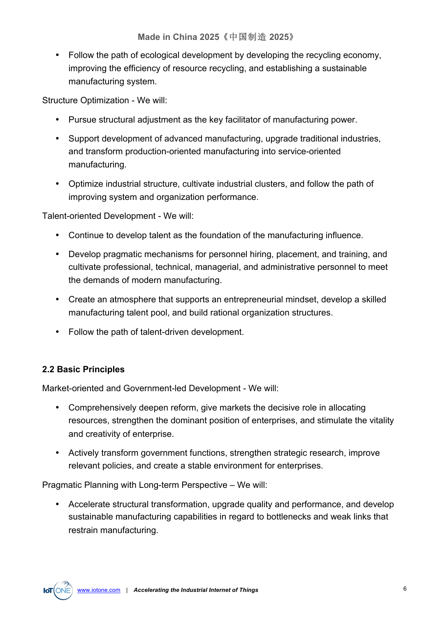• Follow the path of ecological development by developing the recycling economy, improving the efficiency of resource recycling, and establishing a sustainable manufacturing system.

Structure Optimization - We will:

- Pursue structural adjustment as the key facilitator of manufacturing power.
- Support development of advanced manufacturing, upgrade traditional industries, and transform production-oriented manufacturing into service-oriented manufacturing.
- Optimize industrial structure, cultivate industrial clusters, and follow the path of improving system and organization performance.

Talent-oriented Development - We will:

- Continue to develop talent as the foundation of the manufacturing influence.
- Develop pragmatic mechanisms for personnel hiring, placement, and training, and cultivate professional, technical, managerial, and administrative personnel to meet the demands of modern manufacturing.
- Create an atmosphere that supports an entrepreneurial mindset, develop a skilled manufacturing talent pool, and build rational organization structures.
- Follow the path of talent-driven development.

#### **2.2 Basic Principles**

Market-oriented and Government-led Development - We will:

- Comprehensively deepen reform, give markets the decisive role in allocating resources, strengthen the dominant position of enterprises, and stimulate the vitality and creativity of enterprise.
- Actively transform government functions, strengthen strategic research, improve relevant policies, and create a stable environment for enterprises.

Pragmatic Planning with Long-term Perspective – We will:

• Accelerate structural transformation, upgrade quality and performance, and develop sustainable manufacturing capabilities in regard to bottlenecks and weak links that restrain manufacturing.

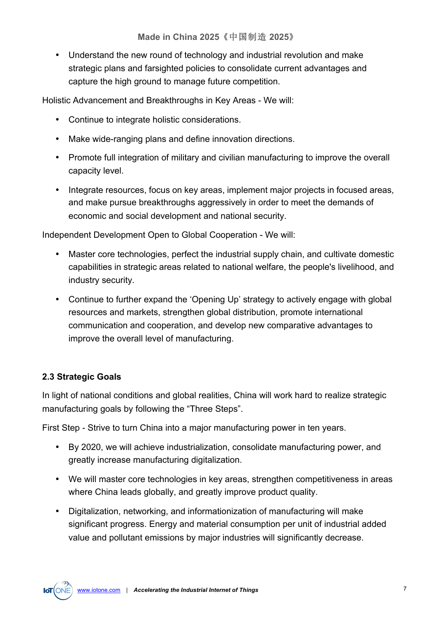• Understand the new round of technology and industrial revolution and make strategic plans and farsighted policies to consolidate current advantages and capture the high ground to manage future competition.

Holistic Advancement and Breakthroughs in Key Areas - We will:

- Continue to integrate holistic considerations.
- Make wide-ranging plans and define innovation directions.
- Promote full integration of military and civilian manufacturing to improve the overall capacity level.
- Integrate resources, focus on key areas, implement major projects in focused areas, and make pursue breakthroughs aggressively in order to meet the demands of economic and social development and national security.

Independent Development Open to Global Cooperation - We will:

- Master core technologies, perfect the industrial supply chain, and cultivate domestic capabilities in strategic areas related to national welfare, the people's livelihood, and industry security.
- Continue to further expand the 'Opening Up' strategy to actively engage with global resources and markets, strengthen global distribution, promote international communication and cooperation, and develop new comparative advantages to improve the overall level of manufacturing.

#### **2.3 Strategic Goals**

In light of national conditions and global realities, China will work hard to realize strategic manufacturing goals by following the "Three Steps".

First Step - Strive to turn China into a major manufacturing power in ten years.

- By 2020, we will achieve industrialization, consolidate manufacturing power, and greatly increase manufacturing digitalization.
- We will master core technologies in key areas, strengthen competitiveness in areas where China leads globally, and greatly improve product quality.
- Digitalization, networking, and informationization of manufacturing will make significant progress. Energy and material consumption per unit of industrial added value and pollutant emissions by major industries will significantly decrease.

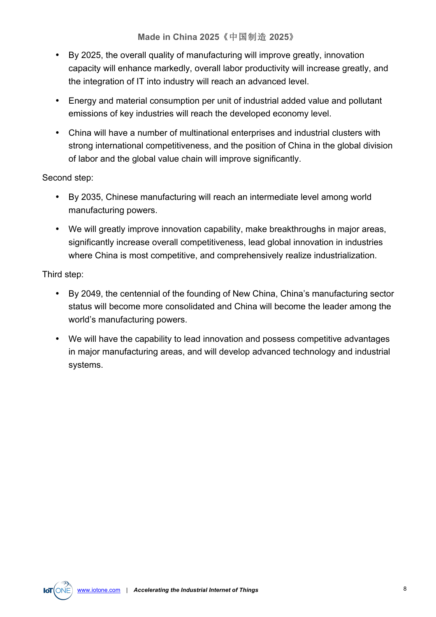- By 2025, the overall quality of manufacturing will improve greatly, innovation capacity will enhance markedly, overall labor productivity will increase greatly, and the integration of IT into industry will reach an advanced level.
- Energy and material consumption per unit of industrial added value and pollutant emissions of key industries will reach the developed economy level.
- China will have a number of multinational enterprises and industrial clusters with strong international competitiveness, and the position of China in the global division of labor and the global value chain will improve significantly.

#### Second step:

- By 2035, Chinese manufacturing will reach an intermediate level among world manufacturing powers.
- We will greatly improve innovation capability, make breakthroughs in major areas, significantly increase overall competitiveness, lead global innovation in industries where China is most competitive, and comprehensively realize industrialization.

Third step:

- By 2049, the centennial of the founding of New China, China's manufacturing sector status will become more consolidated and China will become the leader among the world's manufacturing powers.
- We will have the capability to lead innovation and possess competitive advantages in major manufacturing areas, and will develop advanced technology and industrial systems.

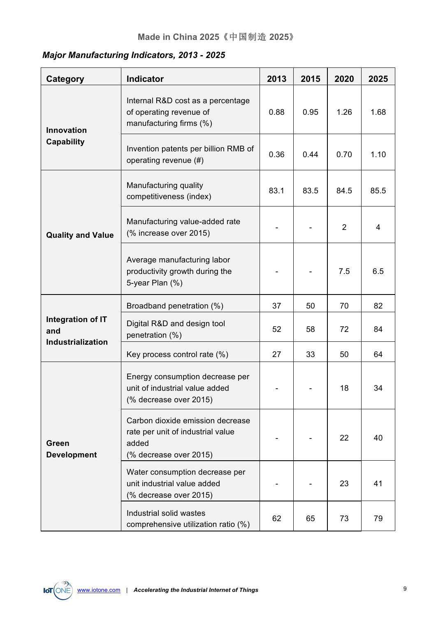## *Major Manufacturing Indicators, 2013 - 2025*

| Category                                             | <b>Indicator</b>                                                                                         | 2013 | 2015 | 2020 | 2025 |
|------------------------------------------------------|----------------------------------------------------------------------------------------------------------|------|------|------|------|
| <b>Innovation</b><br>Capability                      | Internal R&D cost as a percentage<br>of operating revenue of<br>manufacturing firms (%)                  | 0.88 | 0.95 | 1.26 | 1.68 |
|                                                      | Invention patents per billion RMB of<br>operating revenue (#)                                            | 0.36 | 0.44 | 0.70 | 1.10 |
| <b>Quality and Value</b>                             | Manufacturing quality<br>competitiveness (index)                                                         | 83.1 | 83.5 | 84.5 | 85.5 |
|                                                      | Manufacturing value-added rate<br>(% increase over 2015)                                                 |      |      | 2    | 4    |
|                                                      | Average manufacturing labor<br>productivity growth during the<br>5-year Plan (%)                         |      |      | 7.5  | 6.5  |
| Integration of IT<br>and<br><b>Industrialization</b> | Broadband penetration (%)                                                                                | 37   | 50   | 70   | 82   |
|                                                      | Digital R&D and design tool<br>penetration (%)                                                           | 52   | 58   | 72   | 84   |
|                                                      | Key process control rate (%)                                                                             | 27   | 33   | 50   | 64   |
| Green<br><b>Development</b>                          | Energy consumption decrease per<br>unit of industrial value added<br>(% decrease over 2015)              |      |      | 18   | 34   |
|                                                      | Carbon dioxide emission decrease<br>rate per unit of industrial value<br>added<br>(% decrease over 2015) |      |      | 22   | 40   |
|                                                      | Water consumption decrease per<br>unit industrial value added<br>(% decrease over 2015)                  |      |      | 23   | 41   |
|                                                      | Industrial solid wastes<br>comprehensive utilization ratio (%)                                           | 62   | 65   | 73   | 79   |

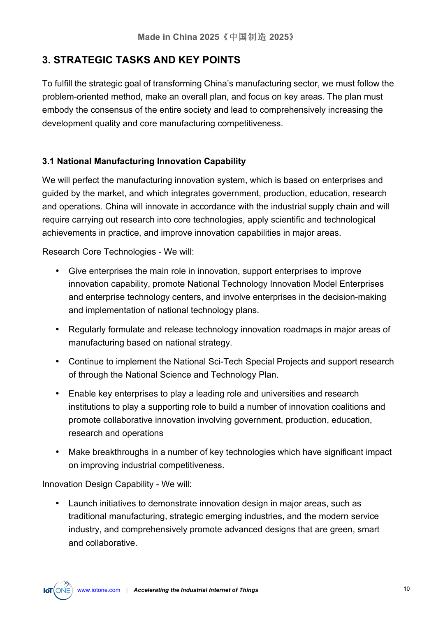## **3. STRATEGIC TASKS AND KEY POINTS**

To fulfill the strategic goal of transforming China's manufacturing sector, we must follow the problem-oriented method, make an overall plan, and focus on key areas. The plan must embody the consensus of the entire society and lead to comprehensively increasing the development quality and core manufacturing competitiveness.

#### **3.1 National Manufacturing Innovation Capability**

We will perfect the manufacturing innovation system, which is based on enterprises and guided by the market, and which integrates government, production, education, research and operations. China will innovate in accordance with the industrial supply chain and will require carrying out research into core technologies, apply scientific and technological achievements in practice, and improve innovation capabilities in major areas.

Research Core Technologies - We will:

- Give enterprises the main role in innovation, support enterprises to improve innovation capability, promote National Technology Innovation Model Enterprises and enterprise technology centers, and involve enterprises in the decision-making and implementation of national technology plans.
- Regularly formulate and release technology innovation roadmaps in major areas of manufacturing based on national strategy.
- Continue to implement the National Sci-Tech Special Projects and support research of through the National Science and Technology Plan.
- Enable key enterprises to play a leading role and universities and research institutions to play a supporting role to build a number of innovation coalitions and promote collaborative innovation involving government, production, education, research and operations
- Make breakthroughs in a number of key technologies which have significant impact on improving industrial competitiveness.

Innovation Design Capability - We will:

• Launch initiatives to demonstrate innovation design in major areas, such as traditional manufacturing, strategic emerging industries, and the modern service industry, and comprehensively promote advanced designs that are green, smart and collaborative.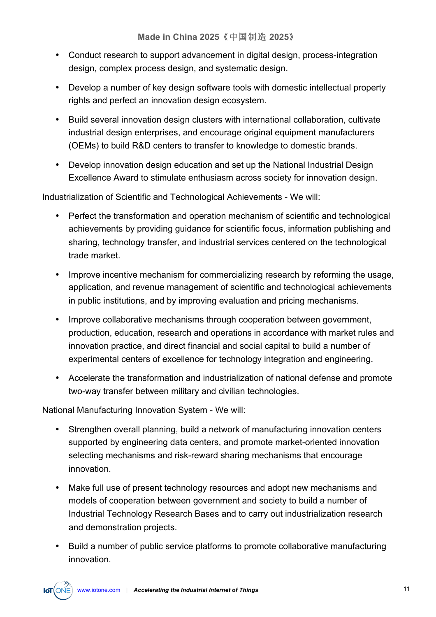- Conduct research to support advancement in digital design, process-integration design, complex process design, and systematic design.
- Develop a number of key design software tools with domestic intellectual property rights and perfect an innovation design ecosystem.
- Build several innovation design clusters with international collaboration, cultivate industrial design enterprises, and encourage original equipment manufacturers (OEMs) to build R&D centers to transfer to knowledge to domestic brands.
- Develop innovation design education and set up the National Industrial Design Excellence Award to stimulate enthusiasm across society for innovation design.

Industrialization of Scientific and Technological Achievements - We will:

- Perfect the transformation and operation mechanism of scientific and technological achievements by providing guidance for scientific focus, information publishing and sharing, technology transfer, and industrial services centered on the technological trade market.
- Improve incentive mechanism for commercializing research by reforming the usage, application, and revenue management of scientific and technological achievements in public institutions, and by improving evaluation and pricing mechanisms.
- Improve collaborative mechanisms through cooperation between government, production, education, research and operations in accordance with market rules and innovation practice, and direct financial and social capital to build a number of experimental centers of excellence for technology integration and engineering.
- Accelerate the transformation and industrialization of national defense and promote two-way transfer between military and civilian technologies.

National Manufacturing Innovation System - We will:

- Strengthen overall planning, build a network of manufacturing innovation centers supported by engineering data centers, and promote market-oriented innovation selecting mechanisms and risk-reward sharing mechanisms that encourage innovation.
- Make full use of present technology resources and adopt new mechanisms and models of cooperation between government and society to build a number of Industrial Technology Research Bases and to carry out industrialization research and demonstration projects.
- Build a number of public service platforms to promote collaborative manufacturing innovation.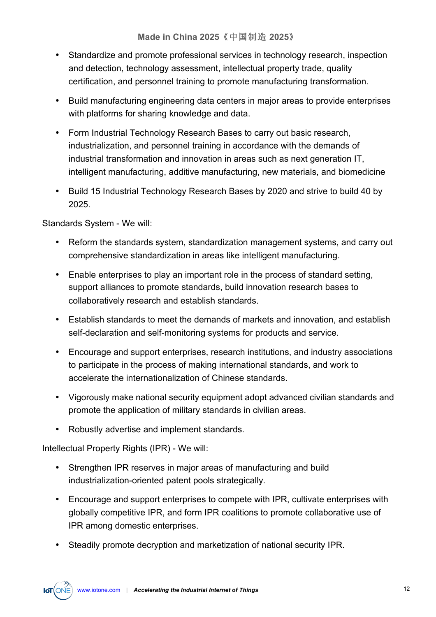- Standardize and promote professional services in technology research, inspection and detection, technology assessment, intellectual property trade, quality certification, and personnel training to promote manufacturing transformation.
- Build manufacturing engineering data centers in major areas to provide enterprises with platforms for sharing knowledge and data.
- Form Industrial Technology Research Bases to carry out basic research, industrialization, and personnel training in accordance with the demands of industrial transformation and innovation in areas such as next generation IT, intelligent manufacturing, additive manufacturing, new materials, and biomedicine
- Build 15 Industrial Technology Research Bases by 2020 and strive to build 40 by 2025.

Standards System - We will:

- Reform the standards system, standardization management systems, and carry out comprehensive standardization in areas like intelligent manufacturing.
- Enable enterprises to play an important role in the process of standard setting, support alliances to promote standards, build innovation research bases to collaboratively research and establish standards.
- Establish standards to meet the demands of markets and innovation, and establish self-declaration and self-monitoring systems for products and service.
- Encourage and support enterprises, research institutions, and industry associations to participate in the process of making international standards, and work to accelerate the internationalization of Chinese standards.
- Vigorously make national security equipment adopt advanced civilian standards and promote the application of military standards in civilian areas.
- Robustly advertise and implement standards.

Intellectual Property Rights (IPR) - We will:

- Strengthen IPR reserves in major areas of manufacturing and build industrialization-oriented patent pools strategically.
- Encourage and support enterprises to compete with IPR, cultivate enterprises with globally competitive IPR, and form IPR coalitions to promote collaborative use of IPR among domestic enterprises.
- Steadily promote decryption and marketization of national security IPR.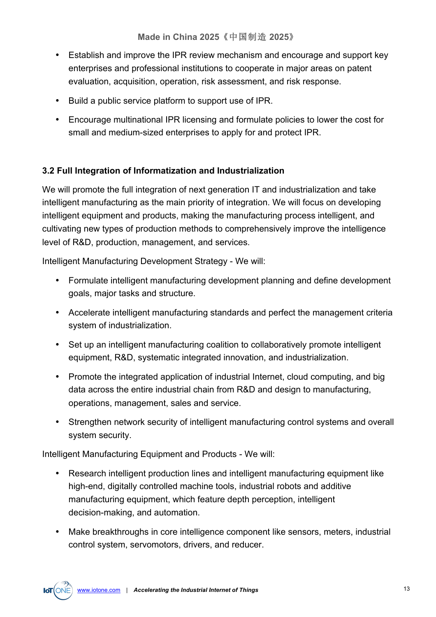- Establish and improve the IPR review mechanism and encourage and support key enterprises and professional institutions to cooperate in major areas on patent evaluation, acquisition, operation, risk assessment, and risk response.
- Build a public service platform to support use of IPR.
- Encourage multinational IPR licensing and formulate policies to lower the cost for small and medium-sized enterprises to apply for and protect IPR.

#### **3.2 Full Integration of Informatization and Industrialization**

We will promote the full integration of next generation IT and industrialization and take intelligent manufacturing as the main priority of integration. We will focus on developing intelligent equipment and products, making the manufacturing process intelligent, and cultivating new types of production methods to comprehensively improve the intelligence level of R&D, production, management, and services.

Intelligent Manufacturing Development Strategy - We will:

- Formulate intelligent manufacturing development planning and define development goals, major tasks and structure.
- Accelerate intelligent manufacturing standards and perfect the management criteria system of industrialization.
- Set up an intelligent manufacturing coalition to collaboratively promote intelligent equipment, R&D, systematic integrated innovation, and industrialization.
- Promote the integrated application of industrial Internet, cloud computing, and big data across the entire industrial chain from R&D and design to manufacturing, operations, management, sales and service.
- Strengthen network security of intelligent manufacturing control systems and overall system security.

Intelligent Manufacturing Equipment and Products - We will:

- Research intelligent production lines and intelligent manufacturing equipment like high-end, digitally controlled machine tools, industrial robots and additive manufacturing equipment, which feature depth perception, intelligent decision-making, and automation.
- Make breakthroughs in core intelligence component like sensors, meters, industrial control system, servomotors, drivers, and reducer.

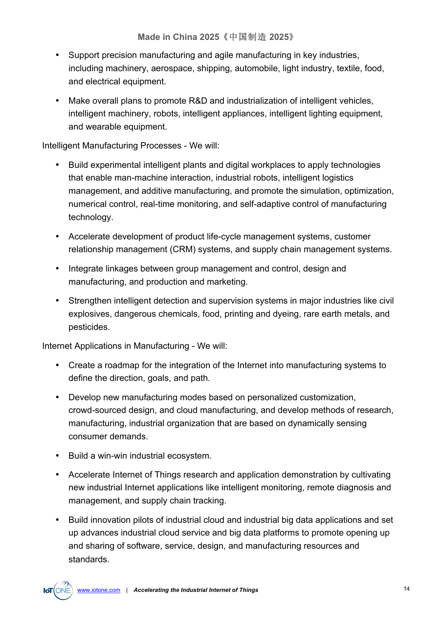- Support precision manufacturing and agile manufacturing in key industries, including machinery, aerospace, shipping, automobile, light industry, textile, food, and electrical equipment.
- Make overall plans to promote R&D and industrialization of intelligent vehicles, intelligent machinery, robots, intelligent appliances, intelligent lighting equipment, and wearable equipment.

Intelligent Manufacturing Processes - We will:

- Build experimental intelligent plants and digital workplaces to apply technologies that enable man-machine interaction, industrial robots, intelligent logistics management, and additive manufacturing, and promote the simulation, optimization, numerical control, real-time monitoring, and self-adaptive control of manufacturing technology.
- Accelerate development of product life-cycle management systems, customer relationship management (CRM) systems, and supply chain management systems.
- Integrate linkages between group management and control, design and manufacturing, and production and marketing.
- Strengthen intelligent detection and supervision systems in major industries like civil explosives, dangerous chemicals, food, printing and dyeing, rare earth metals, and pesticides.

Internet Applications in Manufacturing - We will:

- Create a roadmap for the integration of the Internet into manufacturing systems to define the direction, goals, and path.
- Develop new manufacturing modes based on personalized customization, crowd-sourced design, and cloud manufacturing, and develop methods of research, manufacturing, industrial organization that are based on dynamically sensing consumer demands.
- Build a win-win industrial ecosystem.
- Accelerate Internet of Things research and application demonstration by cultivating new industrial Internet applications like intelligent monitoring, remote diagnosis and management, and supply chain tracking.
- Build innovation pilots of industrial cloud and industrial big data applications and set up advances industrial cloud service and big data platforms to promote opening up and sharing of software, service, design, and manufacturing resources and standards.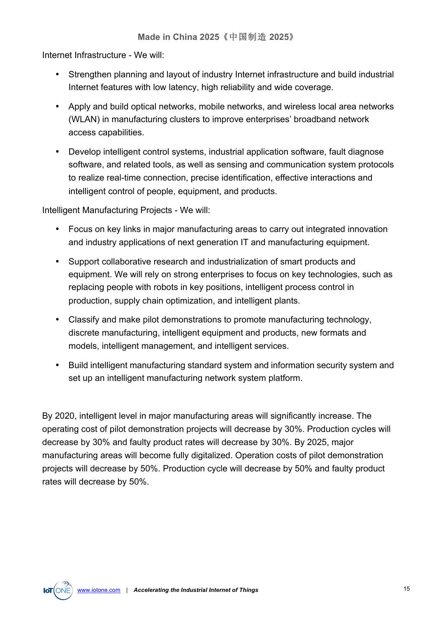Internet Infrastructure - We will:

- Strengthen planning and layout of industry Internet infrastructure and build industrial Internet features with low latency, high reliability and wide coverage.
- Apply and build optical networks, mobile networks, and wireless local area networks (WLAN) in manufacturing clusters to improve enterprises' broadband network access capabilities.
- Develop intelligent control systems, industrial application software, fault diagnose software, and related tools, as well as sensing and communication system protocols to realize real-time connection, precise identification, effective interactions and intelligent control of people, equipment, and products.

Intelligent Manufacturing Projects - We will:

- Focus on key links in major manufacturing areas to carry out integrated innovation and industry applications of next generation IT and manufacturing equipment.
- Support collaborative research and industrialization of smart products and equipment. We will rely on strong enterprises to focus on key technologies, such as replacing people with robots in key positions, intelligent process control in production, supply chain optimization, and intelligent plants.
- Classify and make pilot demonstrations to promote manufacturing technology, discrete manufacturing, intelligent equipment and products, new formats and models, intelligent management, and intelligent services.
- Build intelligent manufacturing standard system and information security system and set up an intelligent manufacturing network system platform.

By 2020, intelligent level in major manufacturing areas will significantly increase. The operating cost of pilot demonstration projects will decrease by 30%. Production cycles will decrease by 30% and faulty product rates will decrease by 30%. By 2025, major manufacturing areas will become fully digitalized. Operation costs of pilot demonstration projects will decrease by 50%. Production cycle will decrease by 50% and faulty product rates will decrease by 50%.

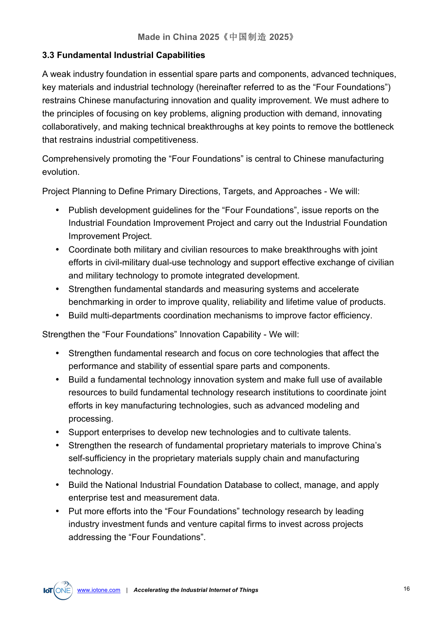#### **3.3 Fundamental Industrial Capabilities**

A weak industry foundation in essential spare parts and components, advanced techniques, key materials and industrial technology (hereinafter referred to as the "Four Foundations") restrains Chinese manufacturing innovation and quality improvement. We must adhere to the principles of focusing on key problems, aligning production with demand, innovating collaboratively, and making technical breakthroughs at key points to remove the bottleneck that restrains industrial competitiveness.

Comprehensively promoting the "Four Foundations" is central to Chinese manufacturing evolution.

Project Planning to Define Primary Directions, Targets, and Approaches - We will:

- Publish development guidelines for the "Four Foundations", issue reports on the Industrial Foundation Improvement Project and carry out the Industrial Foundation Improvement Project.
- Coordinate both military and civilian resources to make breakthroughs with joint efforts in civil-military dual-use technology and support effective exchange of civilian and military technology to promote integrated development.
- Strengthen fundamental standards and measuring systems and accelerate benchmarking in order to improve quality, reliability and lifetime value of products.
- Build multi-departments coordination mechanisms to improve factor efficiency.

Strengthen the "Four Foundations" Innovation Capability - We will:

- Strengthen fundamental research and focus on core technologies that affect the performance and stability of essential spare parts and components.
- Build a fundamental technology innovation system and make full use of available resources to build fundamental technology research institutions to coordinate joint efforts in key manufacturing technologies, such as advanced modeling and processing.
- Support enterprises to develop new technologies and to cultivate talents.
- Strengthen the research of fundamental proprietary materials to improve China's self-sufficiency in the proprietary materials supply chain and manufacturing technology.
- Build the National Industrial Foundation Database to collect, manage, and apply enterprise test and measurement data.
- Put more efforts into the "Four Foundations" technology research by leading industry investment funds and venture capital firms to invest across projects addressing the "Four Foundations".

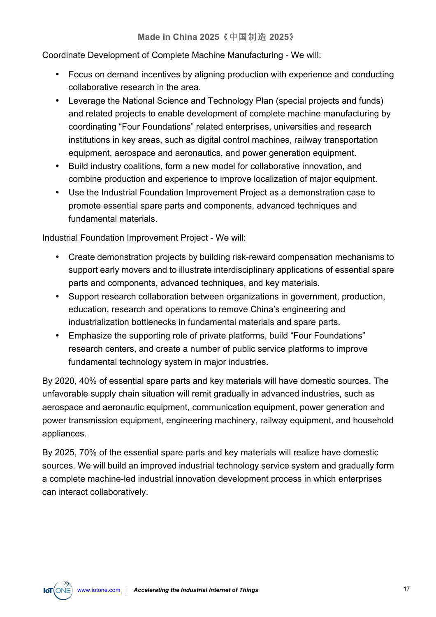Coordinate Development of Complete Machine Manufacturing - We will:

- Focus on demand incentives by aligning production with experience and conducting collaborative research in the area.
- Leverage the National Science and Technology Plan (special projects and funds) and related projects to enable development of complete machine manufacturing by coordinating "Four Foundations" related enterprises, universities and research institutions in key areas, such as digital control machines, railway transportation equipment, aerospace and aeronautics, and power generation equipment.
- Build industry coalitions, form a new model for collaborative innovation, and combine production and experience to improve localization of major equipment.
- Use the Industrial Foundation Improvement Project as a demonstration case to promote essential spare parts and components, advanced techniques and fundamental materials.

Industrial Foundation Improvement Project - We will:

- Create demonstration projects by building risk-reward compensation mechanisms to support early movers and to illustrate interdisciplinary applications of essential spare parts and components, advanced techniques, and key materials.
- Support research collaboration between organizations in government, production, education, research and operations to remove China's engineering and industrialization bottlenecks in fundamental materials and spare parts.
- Emphasize the supporting role of private platforms, build "Four Foundations" research centers, and create a number of public service platforms to improve fundamental technology system in major industries.

By 2020, 40% of essential spare parts and key materials will have domestic sources. The unfavorable supply chain situation will remit gradually in advanced industries, such as aerospace and aeronautic equipment, communication equipment, power generation and power transmission equipment, engineering machinery, railway equipment, and household appliances.

By 2025, 70% of the essential spare parts and key materials will realize have domestic sources. We will build an improved industrial technology service system and gradually form a complete machine-led industrial innovation development process in which enterprises can interact collaboratively.

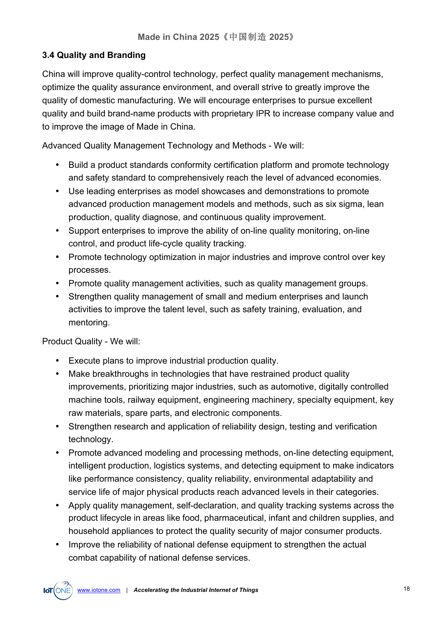#### **3.4 Quality and Branding**

China will improve quality-control technology, perfect quality management mechanisms, optimize the quality assurance environment, and overall strive to greatly improve the quality of domestic manufacturing. We will encourage enterprises to pursue excellent quality and build brand-name products with proprietary IPR to increase company value and to improve the image of Made in China.

Advanced Quality Management Technology and Methods - We will:

- Build a product standards conformity certification platform and promote technology and safety standard to comprehensively reach the level of advanced economies.
- Use leading enterprises as model showcases and demonstrations to promote advanced production management models and methods, such as six sigma, lean production, quality diagnose, and continuous quality improvement.
- Support enterprises to improve the ability of on-line quality monitoring, on-line control, and product life-cycle quality tracking.
- Promote technology optimization in major industries and improve control over key processes.
- Promote quality management activities, such as quality management groups.
- Strengthen quality management of small and medium enterprises and launch activities to improve the talent level, such as safety training, evaluation, and mentoring.

Product Quality - We will:

- Execute plans to improve industrial production quality.
- Make breakthroughs in technologies that have restrained product quality improvements, prioritizing major industries, such as automotive, digitally controlled machine tools, railway equipment, engineering machinery, specialty equipment, key raw materials, spare parts, and electronic components.
- Strengthen research and application of reliability design, testing and verification technology.
- Promote advanced modeling and processing methods, on-line detecting equipment, intelligent production, logistics systems, and detecting equipment to make indicators like performance consistency, quality reliability, environmental adaptability and service life of major physical products reach advanced levels in their categories.
- Apply quality management, self-declaration, and quality tracking systems across the product lifecycle in areas like food, pharmaceutical, infant and children supplies, and household appliances to protect the quality security of major consumer products.
- Improve the reliability of national defense equipment to strengthen the actual combat capability of national defense services.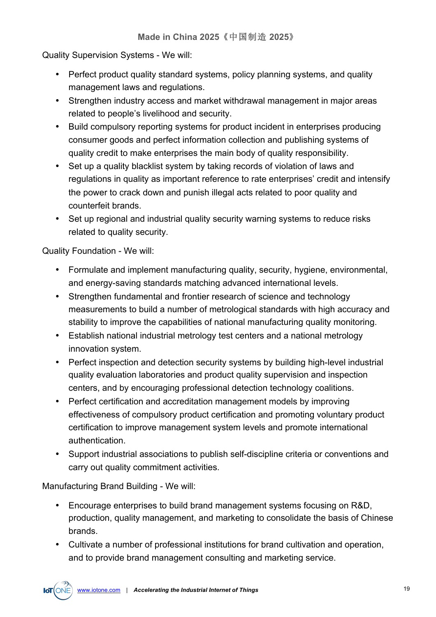Quality Supervision Systems - We will:

- Perfect product quality standard systems, policy planning systems, and quality management laws and regulations.
- Strengthen industry access and market withdrawal management in major areas related to people's livelihood and security.
- Build compulsory reporting systems for product incident in enterprises producing consumer goods and perfect information collection and publishing systems of quality credit to make enterprises the main body of quality responsibility.
- Set up a quality blacklist system by taking records of violation of laws and regulations in quality as important reference to rate enterprises' credit and intensify the power to crack down and punish illegal acts related to poor quality and counterfeit brands.
- Set up regional and industrial quality security warning systems to reduce risks related to quality security.

Quality Foundation - We will:

- Formulate and implement manufacturing quality, security, hygiene, environmental, and energy-saving standards matching advanced international levels.
- Strengthen fundamental and frontier research of science and technology measurements to build a number of metrological standards with high accuracy and stability to improve the capabilities of national manufacturing quality monitoring.
- Establish national industrial metrology test centers and a national metrology innovation system.
- Perfect inspection and detection security systems by building high-level industrial quality evaluation laboratories and product quality supervision and inspection centers, and by encouraging professional detection technology coalitions.
- Perfect certification and accreditation management models by improving effectiveness of compulsory product certification and promoting voluntary product certification to improve management system levels and promote international authentication.
- Support industrial associations to publish self-discipline criteria or conventions and carry out quality commitment activities.

Manufacturing Brand Building - We will:

- Encourage enterprises to build brand management systems focusing on R&D, production, quality management, and marketing to consolidate the basis of Chinese brands.
- Cultivate a number of professional institutions for brand cultivation and operation, and to provide brand management consulting and marketing service.

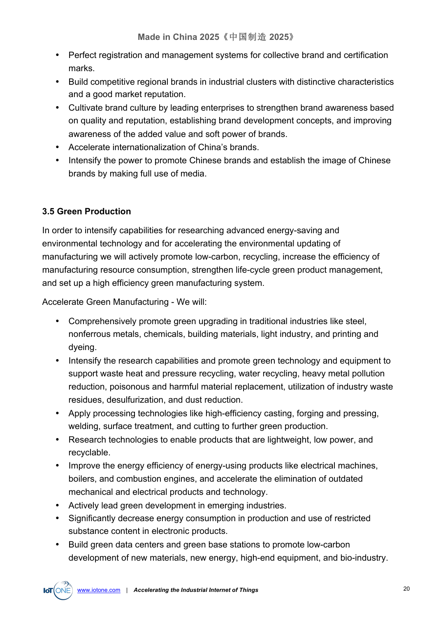- Perfect registration and management systems for collective brand and certification marks.
- Build competitive regional brands in industrial clusters with distinctive characteristics and a good market reputation.
- Cultivate brand culture by leading enterprises to strengthen brand awareness based on quality and reputation, establishing brand development concepts, and improving awareness of the added value and soft power of brands.
- Accelerate internationalization of China's brands.
- Intensify the power to promote Chinese brands and establish the image of Chinese brands by making full use of media.

#### **3.5 Green Production**

In order to intensify capabilities for researching advanced energy-saving and environmental technology and for accelerating the environmental updating of manufacturing we will actively promote low-carbon, recycling, increase the efficiency of manufacturing resource consumption, strengthen life-cycle green product management, and set up a high efficiency green manufacturing system.

Accelerate Green Manufacturing - We will:

- Comprehensively promote green upgrading in traditional industries like steel, nonferrous metals, chemicals, building materials, light industry, and printing and dyeing.
- Intensify the research capabilities and promote green technology and equipment to support waste heat and pressure recycling, water recycling, heavy metal pollution reduction, poisonous and harmful material replacement, utilization of industry waste residues, desulfurization, and dust reduction.
- Apply processing technologies like high-efficiency casting, forging and pressing, welding, surface treatment, and cutting to further green production.
- Research technologies to enable products that are lightweight, low power, and recyclable.
- Improve the energy efficiency of energy-using products like electrical machines, boilers, and combustion engines, and accelerate the elimination of outdated mechanical and electrical products and technology.
- Actively lead green development in emerging industries.
- Significantly decrease energy consumption in production and use of restricted substance content in electronic products.
- Build green data centers and green base stations to promote low-carbon development of new materials, new energy, high-end equipment, and bio-industry.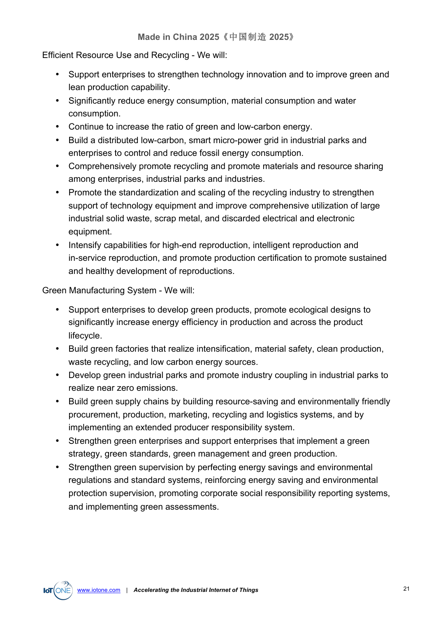Efficient Resource Use and Recycling - We will:

- Support enterprises to strengthen technology innovation and to improve green and lean production capability.
- Significantly reduce energy consumption, material consumption and water consumption.
- Continue to increase the ratio of green and low-carbon energy.
- Build a distributed low-carbon, smart micro-power grid in industrial parks and enterprises to control and reduce fossil energy consumption.
- Comprehensively promote recycling and promote materials and resource sharing among enterprises, industrial parks and industries.
- Promote the standardization and scaling of the recycling industry to strengthen support of technology equipment and improve comprehensive utilization of large industrial solid waste, scrap metal, and discarded electrical and electronic equipment.
- Intensify capabilities for high-end reproduction, intelligent reproduction and in-service reproduction, and promote production certification to promote sustained and healthy development of reproductions.

Green Manufacturing System - We will:

- Support enterprises to develop green products, promote ecological designs to significantly increase energy efficiency in production and across the product lifecycle.
- Build green factories that realize intensification, material safety, clean production, waste recycling, and low carbon energy sources.
- Develop green industrial parks and promote industry coupling in industrial parks to realize near zero emissions.
- Build green supply chains by building resource-saving and environmentally friendly procurement, production, marketing, recycling and logistics systems, and by implementing an extended producer responsibility system.
- Strengthen green enterprises and support enterprises that implement a green strategy, green standards, green management and green production.
- Strengthen green supervision by perfecting energy savings and environmental regulations and standard systems, reinforcing energy saving and environmental protection supervision, promoting corporate social responsibility reporting systems, and implementing green assessments.

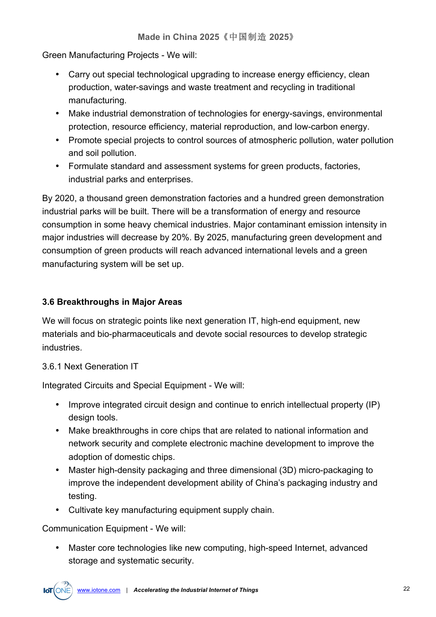Green Manufacturing Projects - We will:

- Carry out special technological upgrading to increase energy efficiency, clean production, water-savings and waste treatment and recycling in traditional manufacturing.
- Make industrial demonstration of technologies for energy-savings, environmental protection, resource efficiency, material reproduction, and low-carbon energy.
- Promote special projects to control sources of atmospheric pollution, water pollution and soil pollution.
- Formulate standard and assessment systems for green products, factories, industrial parks and enterprises.

By 2020, a thousand green demonstration factories and a hundred green demonstration industrial parks will be built. There will be a transformation of energy and resource consumption in some heavy chemical industries. Major contaminant emission intensity in major industries will decrease by 20%. By 2025, manufacturing green development and consumption of green products will reach advanced international levels and a green manufacturing system will be set up.

#### **3.6 Breakthroughs in Major Areas**

We will focus on strategic points like next generation IT, high-end equipment, new materials and bio-pharmaceuticals and devote social resources to develop strategic industries.

#### 3.6.1 Next Generation IT

Integrated Circuits and Special Equipment - We will:

- Improve integrated circuit design and continue to enrich intellectual property (IP) design tools.
- Make breakthroughs in core chips that are related to national information and network security and complete electronic machine development to improve the adoption of domestic chips.
- Master high-density packaging and three dimensional (3D) micro-packaging to improve the independent development ability of China's packaging industry and testing.
- Cultivate key manufacturing equipment supply chain.

Communication Equipment - We will:

• Master core technologies like new computing, high-speed Internet, advanced storage and systematic security.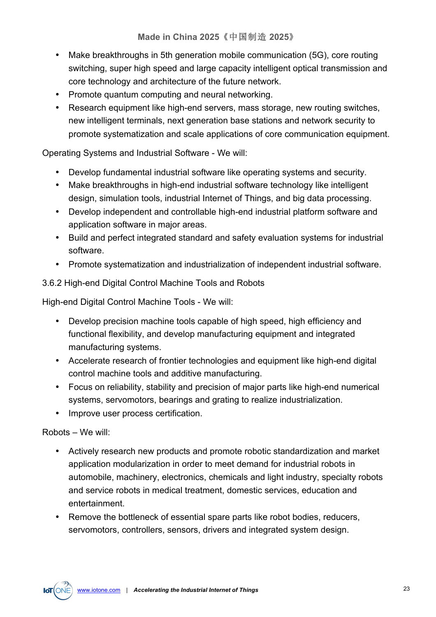- Make breakthroughs in 5th generation mobile communication (5G), core routing switching, super high speed and large capacity intelligent optical transmission and core technology and architecture of the future network.
- Promote quantum computing and neural networking.
- Research equipment like high-end servers, mass storage, new routing switches, new intelligent terminals, next generation base stations and network security to promote systematization and scale applications of core communication equipment.

#### Operating Systems and Industrial Software - We will:

- Develop fundamental industrial software like operating systems and security.
- Make breakthroughs in high-end industrial software technology like intelligent design, simulation tools, industrial Internet of Things, and big data processing.
- Develop independent and controllable high-end industrial platform software and application software in major areas.
- Build and perfect integrated standard and safety evaluation systems for industrial software.
- Promote systematization and industrialization of independent industrial software.

#### 3.6.2 High-end Digital Control Machine Tools and Robots

High-end Digital Control Machine Tools - We will:

- Develop precision machine tools capable of high speed, high efficiency and functional flexibility, and develop manufacturing equipment and integrated manufacturing systems.
- Accelerate research of frontier technologies and equipment like high-end digital control machine tools and additive manufacturing.
- Focus on reliability, stability and precision of major parts like high-end numerical systems, servomotors, bearings and grating to realize industrialization.
- Improve user process certification.

#### Robots – We will:

- Actively research new products and promote robotic standardization and market application modularization in order to meet demand for industrial robots in automobile, machinery, electronics, chemicals and light industry, specialty robots and service robots in medical treatment, domestic services, education and entertainment.
- Remove the bottleneck of essential spare parts like robot bodies, reducers, servomotors, controllers, sensors, drivers and integrated system design.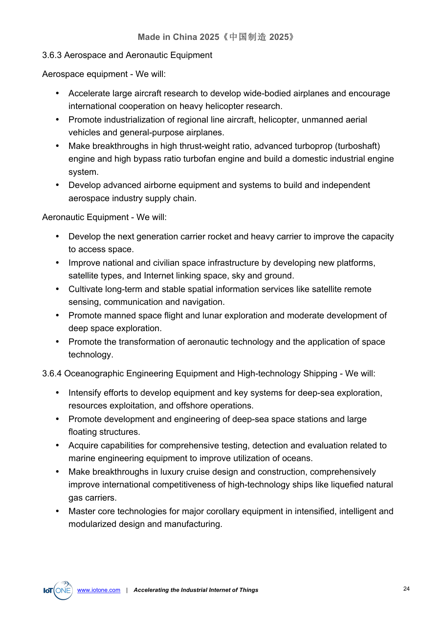#### 3.6.3 Aerospace and Aeronautic Equipment

Aerospace equipment - We will:

- Accelerate large aircraft research to develop wide-bodied airplanes and encourage international cooperation on heavy helicopter research.
- Promote industrialization of regional line aircraft, helicopter, unmanned aerial vehicles and general-purpose airplanes.
- Make breakthroughs in high thrust-weight ratio, advanced turboprop (turboshaft) engine and high bypass ratio turbofan engine and build a domestic industrial engine system.
- Develop advanced airborne equipment and systems to build and independent aerospace industry supply chain.

Aeronautic Equipment - We will:

- Develop the next generation carrier rocket and heavy carrier to improve the capacity to access space.
- Improve national and civilian space infrastructure by developing new platforms, satellite types, and Internet linking space, sky and ground.
- Cultivate long-term and stable spatial information services like satellite remote sensing, communication and navigation.
- Promote manned space flight and lunar exploration and moderate development of deep space exploration.
- Promote the transformation of aeronautic technology and the application of space technology.

#### 3.6.4 Oceanographic Engineering Equipment and High-technology Shipping - We will:

- Intensify efforts to develop equipment and key systems for deep-sea exploration, resources exploitation, and offshore operations.
- Promote development and engineering of deep-sea space stations and large floating structures.
- Acquire capabilities for comprehensive testing, detection and evaluation related to marine engineering equipment to improve utilization of oceans.
- Make breakthroughs in luxury cruise design and construction, comprehensively improve international competitiveness of high-technology ships like liquefied natural gas carriers.
- Master core technologies for major corollary equipment in intensified, intelligent and modularized design and manufacturing.

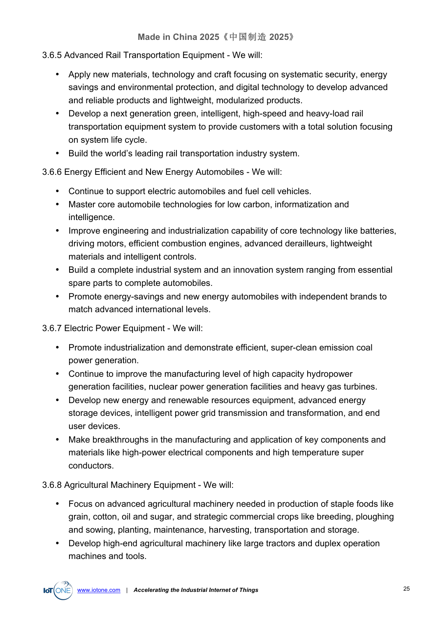#### 3.6.5 Advanced Rail Transportation Equipment - We will:

- Apply new materials, technology and craft focusing on systematic security, energy savings and environmental protection, and digital technology to develop advanced and reliable products and lightweight, modularized products.
- Develop a next generation green, intelligent, high-speed and heavy-load rail transportation equipment system to provide customers with a total solution focusing on system life cycle.
- Build the world's leading rail transportation industry system.

3.6.6 Energy Efficient and New Energy Automobiles - We will:

- Continue to support electric automobiles and fuel cell vehicles.
- Master core automobile technologies for low carbon, informatization and intelligence.
- Improve engineering and industrialization capability of core technology like batteries, driving motors, efficient combustion engines, advanced derailleurs, lightweight materials and intelligent controls.
- Build a complete industrial system and an innovation system ranging from essential spare parts to complete automobiles.
- Promote energy-savings and new energy automobiles with independent brands to match advanced international levels.

3.6.7 Electric Power Equipment - We will:

- Promote industrialization and demonstrate efficient, super-clean emission coal power generation.
- Continue to improve the manufacturing level of high capacity hydropower generation facilities, nuclear power generation facilities and heavy gas turbines.
- Develop new energy and renewable resources equipment, advanced energy storage devices, intelligent power grid transmission and transformation, and end user devices.
- Make breakthroughs in the manufacturing and application of key components and materials like high-power electrical components and high temperature super conductors.

3.6.8 Agricultural Machinery Equipment - We will:

- Focus on advanced agricultural machinery needed in production of staple foods like grain, cotton, oil and sugar, and strategic commercial crops like breeding, ploughing and sowing, planting, maintenance, harvesting, transportation and storage.
- Develop high-end agricultural machinery like large tractors and duplex operation machines and tools.

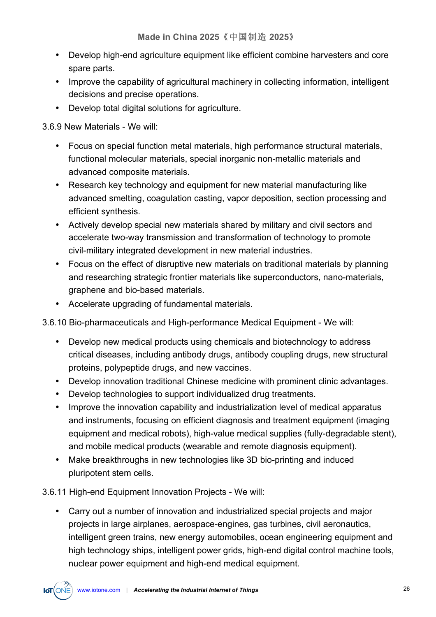- Develop high-end agriculture equipment like efficient combine harvesters and core spare parts.
- Improve the capability of agricultural machinery in collecting information, intelligent decisions and precise operations.
- Develop total digital solutions for agriculture.

3.6.9 New Materials - We will:

- Focus on special function metal materials, high performance structural materials, functional molecular materials, special inorganic non-metallic materials and advanced composite materials.
- Research key technology and equipment for new material manufacturing like advanced smelting, coagulation casting, vapor deposition, section processing and efficient synthesis.
- Actively develop special new materials shared by military and civil sectors and accelerate two-way transmission and transformation of technology to promote civil-military integrated development in new material industries.
- Focus on the effect of disruptive new materials on traditional materials by planning and researching strategic frontier materials like superconductors, nano-materials, graphene and bio-based materials.
- Accelerate upgrading of fundamental materials.

3.6.10 Bio-pharmaceuticals and High-performance Medical Equipment - We will:

- Develop new medical products using chemicals and biotechnology to address critical diseases, including antibody drugs, antibody coupling drugs, new structural proteins, polypeptide drugs, and new vaccines.
- Develop innovation traditional Chinese medicine with prominent clinic advantages.
- Develop technologies to support individualized drug treatments.
- Improve the innovation capability and industrialization level of medical apparatus and instruments, focusing on efficient diagnosis and treatment equipment (imaging equipment and medical robots), high-value medical supplies (fully-degradable stent), and mobile medical products (wearable and remote diagnosis equipment).
- Make breakthroughs in new technologies like 3D bio-printing and induced pluripotent stem cells.

3.6.11 High-end Equipment Innovation Projects - We will:

• Carry out a number of innovation and industrialized special projects and major projects in large airplanes, aerospace-engines, gas turbines, civil aeronautics, intelligent green trains, new energy automobiles, ocean engineering equipment and high technology ships, intelligent power grids, high-end digital control machine tools, nuclear power equipment and high-end medical equipment.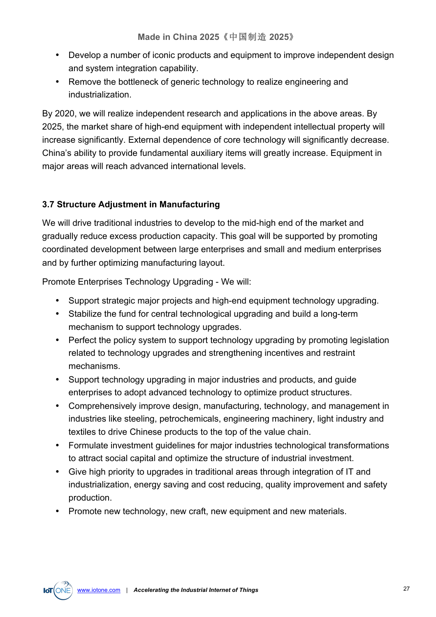- Develop a number of iconic products and equipment to improve independent design and system integration capability.
- Remove the bottleneck of generic technology to realize engineering and industrialization.

By 2020, we will realize independent research and applications in the above areas. By 2025, the market share of high-end equipment with independent intellectual property will increase significantly. External dependence of core technology will significantly decrease. China's ability to provide fundamental auxiliary items will greatly increase. Equipment in major areas will reach advanced international levels.

#### **3.7 Structure Adjustment in Manufacturing**

We will drive traditional industries to develop to the mid-high end of the market and gradually reduce excess production capacity. This goal will be supported by promoting coordinated development between large enterprises and small and medium enterprises and by further optimizing manufacturing layout.

Promote Enterprises Technology Upgrading - We will:

- Support strategic major projects and high-end equipment technology upgrading.
- Stabilize the fund for central technological upgrading and build a long-term mechanism to support technology upgrades.
- Perfect the policy system to support technology upgrading by promoting legislation related to technology upgrades and strengthening incentives and restraint mechanisms.
- Support technology upgrading in major industries and products, and guide enterprises to adopt advanced technology to optimize product structures.
- Comprehensively improve design, manufacturing, technology, and management in industries like steeling, petrochemicals, engineering machinery, light industry and textiles to drive Chinese products to the top of the value chain.
- Formulate investment guidelines for major industries technological transformations to attract social capital and optimize the structure of industrial investment.
- Give high priority to upgrades in traditional areas through integration of IT and industrialization, energy saving and cost reducing, quality improvement and safety production.
- Promote new technology, new craft, new equipment and new materials.

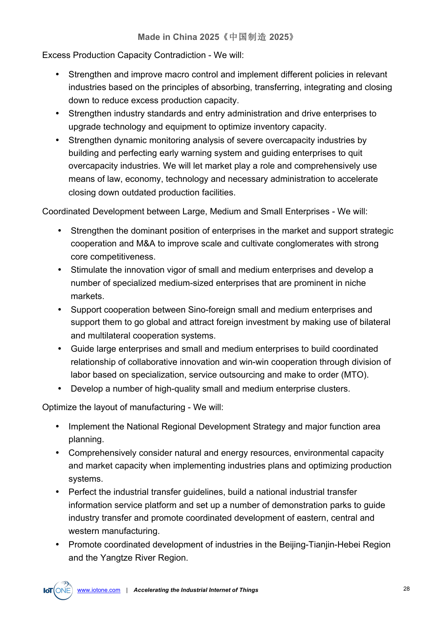Excess Production Capacity Contradiction - We will:

- Strengthen and improve macro control and implement different policies in relevant industries based on the principles of absorbing, transferring, integrating and closing down to reduce excess production capacity.
- Strengthen industry standards and entry administration and drive enterprises to upgrade technology and equipment to optimize inventory capacity.
- Strengthen dynamic monitoring analysis of severe overcapacity industries by building and perfecting early warning system and guiding enterprises to quit overcapacity industries. We will let market play a role and comprehensively use means of law, economy, technology and necessary administration to accelerate closing down outdated production facilities.

Coordinated Development between Large, Medium and Small Enterprises - We will:

- Strengthen the dominant position of enterprises in the market and support strategic cooperation and M&A to improve scale and cultivate conglomerates with strong core competitiveness.
- Stimulate the innovation vigor of small and medium enterprises and develop a number of specialized medium-sized enterprises that are prominent in niche markets.
- Support cooperation between Sino-foreign small and medium enterprises and support them to go global and attract foreign investment by making use of bilateral and multilateral cooperation systems.
- Guide large enterprises and small and medium enterprises to build coordinated relationship of collaborative innovation and win-win cooperation through division of labor based on specialization, service outsourcing and make to order (MTO).
- Develop a number of high-quality small and medium enterprise clusters.

Optimize the layout of manufacturing - We will:

- Implement the National Regional Development Strategy and major function area planning.
- Comprehensively consider natural and energy resources, environmental capacity and market capacity when implementing industries plans and optimizing production systems.
- Perfect the industrial transfer guidelines, build a national industrial transfer information service platform and set up a number of demonstration parks to guide industry transfer and promote coordinated development of eastern, central and western manufacturing.
- Promote coordinated development of industries in the Beijing-Tianjin-Hebei Region and the Yangtze River Region.

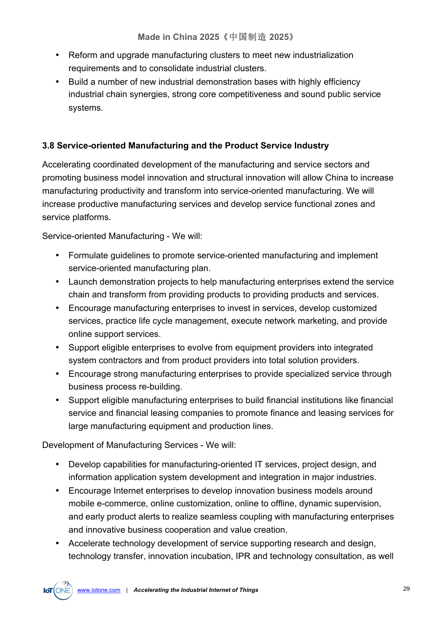- Reform and upgrade manufacturing clusters to meet new industrialization requirements and to consolidate industrial clusters.
- Build a number of new industrial demonstration bases with highly efficiency industrial chain synergies, strong core competitiveness and sound public service systems.

### **3.8 Service-oriented Manufacturing and the Product Service Industry**

Accelerating coordinated development of the manufacturing and service sectors and promoting business model innovation and structural innovation will allow China to increase manufacturing productivity and transform into service-oriented manufacturing. We will increase productive manufacturing services and develop service functional zones and service platforms.

Service-oriented Manufacturing - We will:

- Formulate guidelines to promote service-oriented manufacturing and implement service-oriented manufacturing plan.
- Launch demonstration projects to help manufacturing enterprises extend the service chain and transform from providing products to providing products and services.
- Encourage manufacturing enterprises to invest in services, develop customized services, practice life cycle management, execute network marketing, and provide online support services.
- Support eligible enterprises to evolve from equipment providers into integrated system contractors and from product providers into total solution providers.
- Encourage strong manufacturing enterprises to provide specialized service through business process re-building.
- Support eligible manufacturing enterprises to build financial institutions like financial service and financial leasing companies to promote finance and leasing services for large manufacturing equipment and production lines.

Development of Manufacturing Services - We will:

- Develop capabilities for manufacturing-oriented IT services, project design, and information application system development and integration in major industries.
- Encourage Internet enterprises to develop innovation business models around mobile e-commerce, online customization, online to offline, dynamic supervision, and early product alerts to realize seamless coupling with manufacturing enterprises and innovative business cooperation and value creation.
- Accelerate technology development of service supporting research and design, technology transfer, innovation incubation, IPR and technology consultation, as well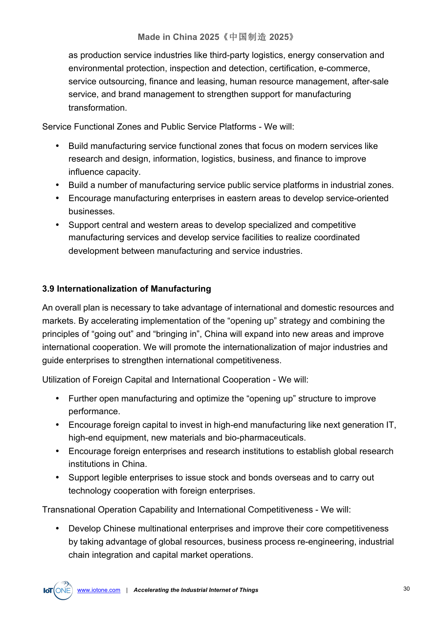as production service industries like third-party logistics, energy conservation and environmental protection, inspection and detection, certification, e-commerce, service outsourcing, finance and leasing, human resource management, after-sale service, and brand management to strengthen support for manufacturing transformation.

Service Functional Zones and Public Service Platforms - We will:

- Build manufacturing service functional zones that focus on modern services like research and design, information, logistics, business, and finance to improve influence capacity.
- Build a number of manufacturing service public service platforms in industrial zones.
- Encourage manufacturing enterprises in eastern areas to develop service-oriented businesses.
- Support central and western areas to develop specialized and competitive manufacturing services and develop service facilities to realize coordinated development between manufacturing and service industries.

#### **3.9 Internationalization of Manufacturing**

An overall plan is necessary to take advantage of international and domestic resources and markets. By accelerating implementation of the "opening up" strategy and combining the principles of "going out" and "bringing in", China will expand into new areas and improve international cooperation. We will promote the internationalization of major industries and guide enterprises to strengthen international competitiveness.

Utilization of Foreign Capital and International Cooperation - We will:

- Further open manufacturing and optimize the "opening up" structure to improve performance.
- Encourage foreign capital to invest in high-end manufacturing like next generation IT, high-end equipment, new materials and bio-pharmaceuticals.
- Encourage foreign enterprises and research institutions to establish global research institutions in China.
- Support legible enterprises to issue stock and bonds overseas and to carry out technology cooperation with foreign enterprises.

Transnational Operation Capability and International Competitiveness - We will:

• Develop Chinese multinational enterprises and improve their core competitiveness by taking advantage of global resources, business process re-engineering, industrial chain integration and capital market operations.

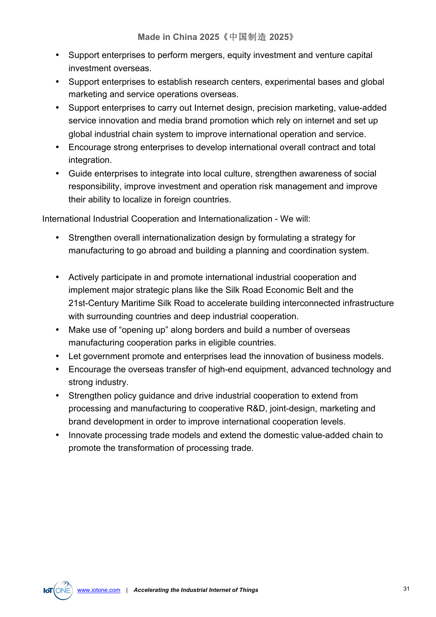- Support enterprises to perform mergers, equity investment and venture capital investment overseas.
- Support enterprises to establish research centers, experimental bases and global marketing and service operations overseas.
- Support enterprises to carry out Internet design, precision marketing, value-added service innovation and media brand promotion which rely on internet and set up global industrial chain system to improve international operation and service.
- Encourage strong enterprises to develop international overall contract and total integration.
- Guide enterprises to integrate into local culture, strengthen awareness of social responsibility, improve investment and operation risk management and improve their ability to localize in foreign countries.

International Industrial Cooperation and Internationalization - We will:

- Strengthen overall internationalization design by formulating a strategy for manufacturing to go abroad and building a planning and coordination system.
- Actively participate in and promote international industrial cooperation and implement major strategic plans like the Silk Road Economic Belt and the 21st-Century Maritime Silk Road to accelerate building interconnected infrastructure with surrounding countries and deep industrial cooperation.
- Make use of "opening up" along borders and build a number of overseas manufacturing cooperation parks in eligible countries.
- Let government promote and enterprises lead the innovation of business models.
- Encourage the overseas transfer of high-end equipment, advanced technology and strong industry.
- Strengthen policy guidance and drive industrial cooperation to extend from processing and manufacturing to cooperative R&D, joint-design, marketing and brand development in order to improve international cooperation levels.
- Innovate processing trade models and extend the domestic value-added chain to promote the transformation of processing trade.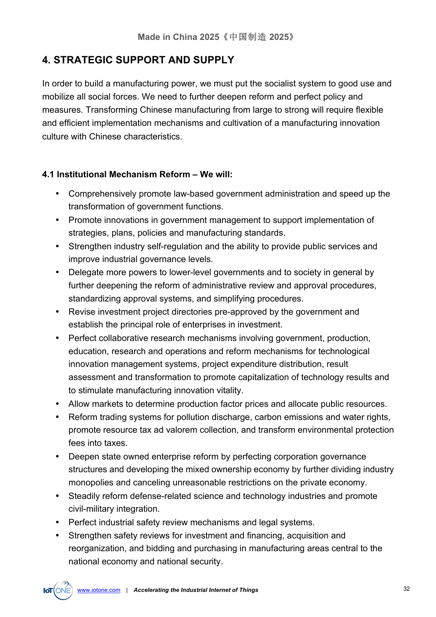## **4. STRATEGIC SUPPORT AND SUPPLY**

In order to build a manufacturing power, we must put the socialist system to good use and mobilize all social forces. We need to further deepen reform and perfect policy and measures. Transforming Chinese manufacturing from large to strong will require flexible and efficient implementation mechanisms and cultivation of a manufacturing innovation culture with Chinese characteristics.

#### **4.1 Institutional Mechanism Reform – We will:**

- Comprehensively promote law-based government administration and speed up the transformation of government functions.
- Promote innovations in government management to support implementation of strategies, plans, policies and manufacturing standards.
- Strengthen industry self-regulation and the ability to provide public services and improve industrial governance levels.
- Delegate more powers to lower-level governments and to society in general by further deepening the reform of administrative review and approval procedures, standardizing approval systems, and simplifying procedures.
- Revise investment project directories pre-approved by the government and establish the principal role of enterprises in investment.
- Perfect collaborative research mechanisms involving government, production, education, research and operations and reform mechanisms for technological innovation management systems, project expenditure distribution, result assessment and transformation to promote capitalization of technology results and to stimulate manufacturing innovation vitality.
- Allow markets to determine production factor prices and allocate public resources.
- Reform trading systems for pollution discharge, carbon emissions and water rights, promote resource tax ad valorem collection, and transform environmental protection fees into taxes.
- Deepen state owned enterprise reform by perfecting corporation governance structures and developing the mixed ownership economy by further dividing industry monopolies and canceling unreasonable restrictions on the private economy.
- Steadily reform defense-related science and technology industries and promote civil-military integration.
- Perfect industrial safety review mechanisms and legal systems.
- Strengthen safety reviews for investment and financing, acquisition and reorganization, and bidding and purchasing in manufacturing areas central to the national economy and national security.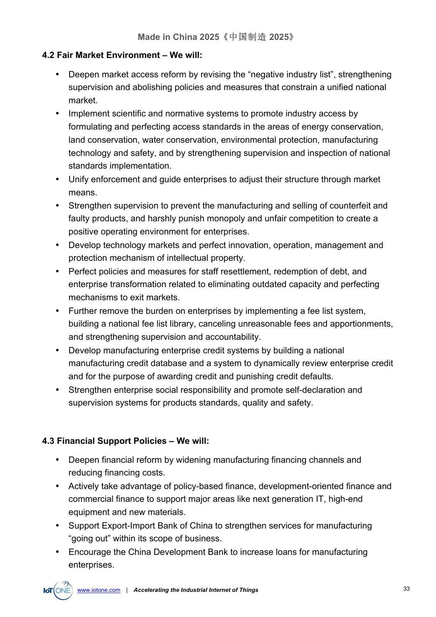#### **4.2 Fair Market Environment – We will:**

- Deepen market access reform by revising the "negative industry list", strengthening supervision and abolishing policies and measures that constrain a unified national market.
- Implement scientific and normative systems to promote industry access by formulating and perfecting access standards in the areas of energy conservation, land conservation, water conservation, environmental protection, manufacturing technology and safety, and by strengthening supervision and inspection of national standards implementation.
- Unify enforcement and guide enterprises to adjust their structure through market means.
- Strengthen supervision to prevent the manufacturing and selling of counterfeit and faulty products, and harshly punish monopoly and unfair competition to create a positive operating environment for enterprises.
- Develop technology markets and perfect innovation, operation, management and protection mechanism of intellectual property.
- Perfect policies and measures for staff resettlement, redemption of debt, and enterprise transformation related to eliminating outdated capacity and perfecting mechanisms to exit markets.
- Further remove the burden on enterprises by implementing a fee list system, building a national fee list library, canceling unreasonable fees and apportionments, and strengthening supervision and accountability.
- Develop manufacturing enterprise credit systems by building a national manufacturing credit database and a system to dynamically review enterprise credit and for the purpose of awarding credit and punishing credit defaults.
- Strengthen enterprise social responsibility and promote self-declaration and supervision systems for products standards, quality and safety.

#### **4.3 Financial Support Policies – We will:**

- Deepen financial reform by widening manufacturing financing channels and reducing financing costs.
- Actively take advantage of policy-based finance, development-oriented finance and commercial finance to support major areas like next generation IT, high-end equipment and new materials.
- Support Export-Import Bank of China to strengthen services for manufacturing "going out" within its scope of business.
- Encourage the China Development Bank to increase loans for manufacturing enterprises.

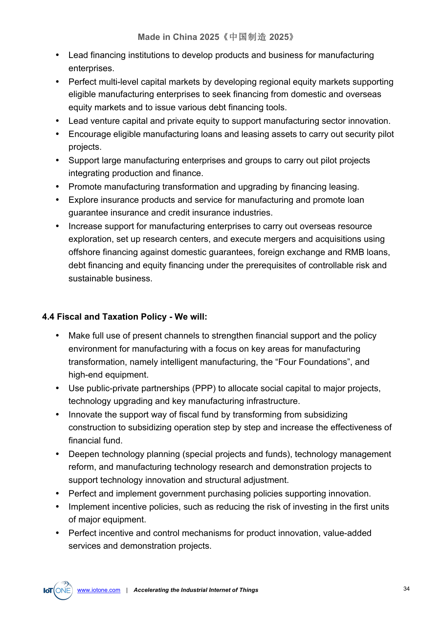- Lead financing institutions to develop products and business for manufacturing enterprises.
- Perfect multi-level capital markets by developing regional equity markets supporting eligible manufacturing enterprises to seek financing from domestic and overseas equity markets and to issue various debt financing tools.
- Lead venture capital and private equity to support manufacturing sector innovation.
- Encourage eligible manufacturing loans and leasing assets to carry out security pilot projects.
- Support large manufacturing enterprises and groups to carry out pilot projects integrating production and finance.
- Promote manufacturing transformation and upgrading by financing leasing.
- Explore insurance products and service for manufacturing and promote loan guarantee insurance and credit insurance industries.
- Increase support for manufacturing enterprises to carry out overseas resource exploration, set up research centers, and execute mergers and acquisitions using offshore financing against domestic guarantees, foreign exchange and RMB loans, debt financing and equity financing under the prerequisites of controllable risk and sustainable business.

#### **4.4 Fiscal and Taxation Policy - We will:**

- Make full use of present channels to strengthen financial support and the policy environment for manufacturing with a focus on key areas for manufacturing transformation, namely intelligent manufacturing, the "Four Foundations", and high-end equipment.
- Use public-private partnerships (PPP) to allocate social capital to major projects, technology upgrading and key manufacturing infrastructure.
- Innovate the support way of fiscal fund by transforming from subsidizing construction to subsidizing operation step by step and increase the effectiveness of financial fund.
- Deepen technology planning (special projects and funds), technology management reform, and manufacturing technology research and demonstration projects to support technology innovation and structural adjustment.
- Perfect and implement government purchasing policies supporting innovation.
- Implement incentive policies, such as reducing the risk of investing in the first units of major equipment.
- Perfect incentive and control mechanisms for product innovation, value-added services and demonstration projects.

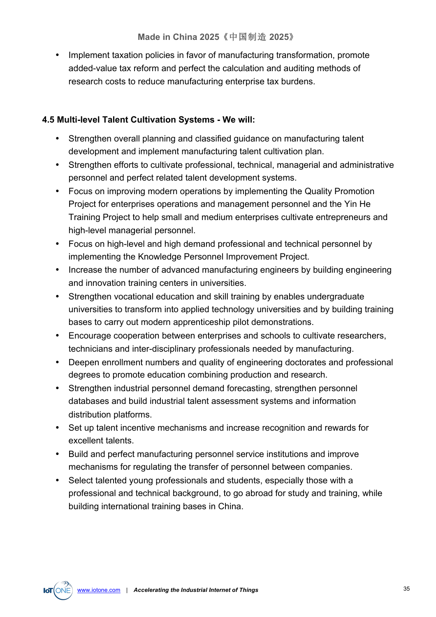• Implement taxation policies in favor of manufacturing transformation, promote added-value tax reform and perfect the calculation and auditing methods of research costs to reduce manufacturing enterprise tax burdens.

#### **4.5 Multi-level Talent Cultivation Systems - We will:**

- Strengthen overall planning and classified guidance on manufacturing talent development and implement manufacturing talent cultivation plan.
- Strengthen efforts to cultivate professional, technical, managerial and administrative personnel and perfect related talent development systems.
- Focus on improving modern operations by implementing the Quality Promotion Project for enterprises operations and management personnel and the Yin He Training Project to help small and medium enterprises cultivate entrepreneurs and high-level managerial personnel.
- Focus on high-level and high demand professional and technical personnel by implementing the Knowledge Personnel Improvement Project.
- Increase the number of advanced manufacturing engineers by building engineering and innovation training centers in universities.
- Strengthen vocational education and skill training by enables undergraduate universities to transform into applied technology universities and by building training bases to carry out modern apprenticeship pilot demonstrations.
- Encourage cooperation between enterprises and schools to cultivate researchers, technicians and inter-disciplinary professionals needed by manufacturing.
- Deepen enrollment numbers and quality of engineering doctorates and professional degrees to promote education combining production and research.
- Strengthen industrial personnel demand forecasting, strengthen personnel databases and build industrial talent assessment systems and information distribution platforms.
- Set up talent incentive mechanisms and increase recognition and rewards for excellent talents.
- Build and perfect manufacturing personnel service institutions and improve mechanisms for regulating the transfer of personnel between companies.
- Select talented young professionals and students, especially those with a professional and technical background, to go abroad for study and training, while building international training bases in China.

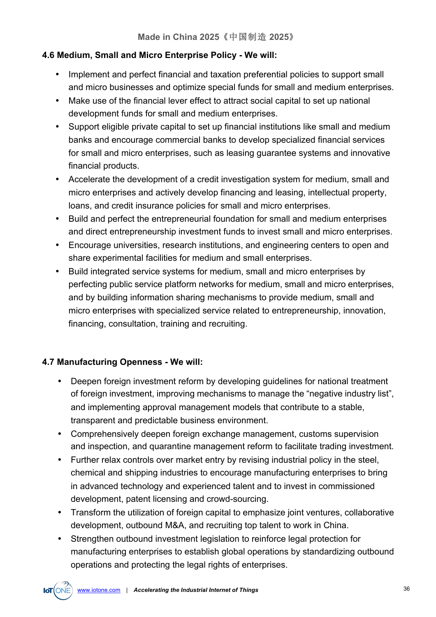#### **4.6 Medium, Small and Micro Enterprise Policy - We will:**

- Implement and perfect financial and taxation preferential policies to support small and micro businesses and optimize special funds for small and medium enterprises.
- Make use of the financial lever effect to attract social capital to set up national development funds for small and medium enterprises.
- Support eligible private capital to set up financial institutions like small and medium banks and encourage commercial banks to develop specialized financial services for small and micro enterprises, such as leasing guarantee systems and innovative financial products.
- Accelerate the development of a credit investigation system for medium, small and micro enterprises and actively develop financing and leasing, intellectual property, loans, and credit insurance policies for small and micro enterprises.
- Build and perfect the entrepreneurial foundation for small and medium enterprises and direct entrepreneurship investment funds to invest small and micro enterprises.
- Encourage universities, research institutions, and engineering centers to open and share experimental facilities for medium and small enterprises.
- Build integrated service systems for medium, small and micro enterprises by perfecting public service platform networks for medium, small and micro enterprises, and by building information sharing mechanisms to provide medium, small and micro enterprises with specialized service related to entrepreneurship, innovation, financing, consultation, training and recruiting.

#### **4.7 Manufacturing Openness - We will:**

- Deepen foreign investment reform by developing guidelines for national treatment of foreign investment, improving mechanisms to manage the "negative industry list", and implementing approval management models that contribute to a stable, transparent and predictable business environment.
- Comprehensively deepen foreign exchange management, customs supervision and inspection, and quarantine management reform to facilitate trading investment.
- Further relax controls over market entry by revising industrial policy in the steel, chemical and shipping industries to encourage manufacturing enterprises to bring in advanced technology and experienced talent and to invest in commissioned development, patent licensing and crowd-sourcing.
- Transform the utilization of foreign capital to emphasize joint ventures, collaborative development, outbound M&A, and recruiting top talent to work in China.
- Strengthen outbound investment legislation to reinforce legal protection for manufacturing enterprises to establish global operations by standardizing outbound operations and protecting the legal rights of enterprises.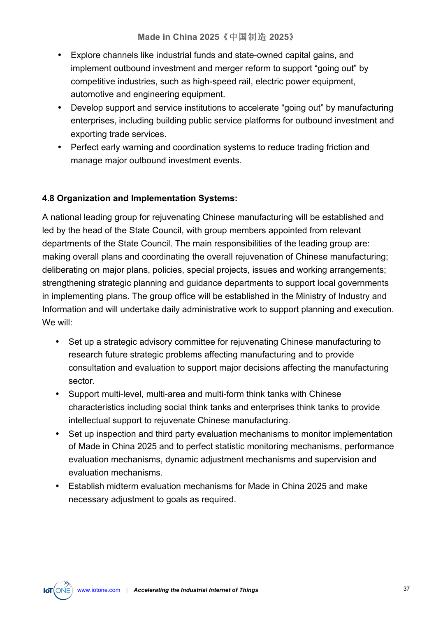- Explore channels like industrial funds and state-owned capital gains, and implement outbound investment and merger reform to support "going out" by competitive industries, such as high-speed rail, electric power equipment, automotive and engineering equipment.
- Develop support and service institutions to accelerate "going out" by manufacturing enterprises, including building public service platforms for outbound investment and exporting trade services.
- Perfect early warning and coordination systems to reduce trading friction and manage major outbound investment events.

#### **4.8 Organization and Implementation Systems:**

A national leading group for rejuvenating Chinese manufacturing will be established and led by the head of the State Council, with group members appointed from relevant departments of the State Council. The main responsibilities of the leading group are: making overall plans and coordinating the overall rejuvenation of Chinese manufacturing; deliberating on major plans, policies, special projects, issues and working arrangements; strengthening strategic planning and guidance departments to support local governments in implementing plans. The group office will be established in the Ministry of Industry and Information and will undertake daily administrative work to support planning and execution. We will:

- Set up a strategic advisory committee for rejuvenating Chinese manufacturing to research future strategic problems affecting manufacturing and to provide consultation and evaluation to support major decisions affecting the manufacturing sector.
- Support multi-level, multi-area and multi-form think tanks with Chinese characteristics including social think tanks and enterprises think tanks to provide intellectual support to rejuvenate Chinese manufacturing.
- Set up inspection and third party evaluation mechanisms to monitor implementation of Made in China 2025 and to perfect statistic monitoring mechanisms, performance evaluation mechanisms, dynamic adjustment mechanisms and supervision and evaluation mechanisms.
- Establish midterm evaluation mechanisms for Made in China 2025 and make necessary adjustment to goals as required.